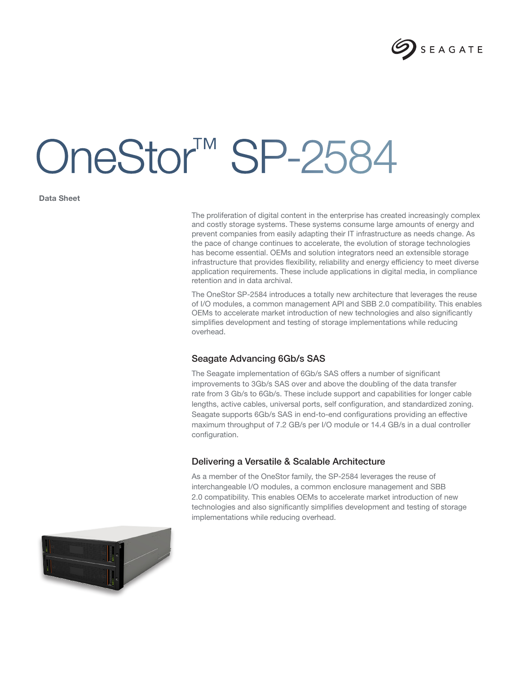

# OneStor™ SP-2584

**Data Sheet**

The proliferation of digital content in the enterprise has created increasingly complex and costly storage systems. These systems consume large amounts of energy and prevent companies from easily adapting their IT infrastructure as needs change. As the pace of change continues to accelerate, the evolution of storage technologies has become essential. OEMs and solution integrators need an extensible storage infrastructure that provides flexibility, reliability and energy efficiency to meet diverse application requirements. These include applications in digital media, in compliance retention and in data archival.

The OneStor SP-2584 introduces a totally new architecture that leverages the reuse of I/O modules, a common management API and SBB 2.0 compatibility. This enables OEMs to accelerate market introduction of new technologies and also significantly simplifies development and testing of storage implementations while reducing overhead.

## Seagate Advancing 6Gb/s SAS

The Seagate implementation of 6Gb/s SAS offers a number of significant improvements to 3Gb/s SAS over and above the doubling of the data transfer rate from 3 Gb/s to 6Gb/s. These include support and capabilities for longer cable lengths, active cables, universal ports, self configuration, and standardized zoning. Seagate supports 6Gb/s SAS in end-to-end configurations providing an effective maximum throughput of 7.2 GB/s per I/O module or 14.4 GB/s in a dual controller configuration.

## Delivering a Versatile & Scalable Architecture

As a member of the OneStor family, the SP-2584 leverages the reuse of interchangeable I/O modules, a common enclosure management and SBB 2.0 compatibility. This enables OEMs to accelerate market introduction of new technologies and also significantly simplifies development and testing of storage implementations while reducing overhead.

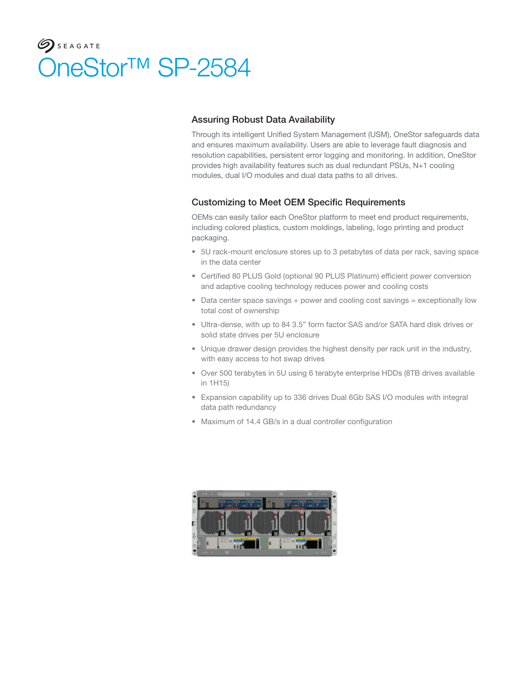# $\mathcal{G}$  SEAGATE OneStor™ SP-2584

# Assuring Robust Data Availability

Through its intelligent Unified System Management (USM), OneStor safeguards data and ensures maximum availability. Users are able to leverage fault diagnosis and resolution capabilities, persistent error logging and monitoring. In addition, OneStor provides high availability features such as dual redundant PSUs, N+1 cooling modules, dual I/O modules and dual data paths to all drives.

## Customizing to Meet OEM Specific Requirements

OEMs can easily tailor each OneStor platform to meet end product requirements, including colored plastics, custom moldings, labeling, logo printing and product packaging.

- 5U rack-mount enclosure stores up to 3 petabytes of data per rack, saving space in the data center
- Certified 80 PLUS Gold (optional 90 PLUS Platinum) efficient power conversion and adaptive cooling technology reduces power and cooling costs
- Data center space savings + power and cooling cost savings = exceptionally low total cost of ownership
- Ultra-dense, with up to 84 3.5" form factor SAS and/or SATA hard disk drives or solid state drives per 5U enclosure
- Unique drawer design provides the highest density per rack unit in the industry, with easy access to hot swap drives
- Over 500 terabytes in 5U using 6 terabyte enterprise HDDs (8TB drives available in 1H15)
- Expansion capability up to 336 drives Dual 6Gb SAS I/O modules with integral data path redundancy
- Maximum of 14.4 GB/s in a dual controller configuration